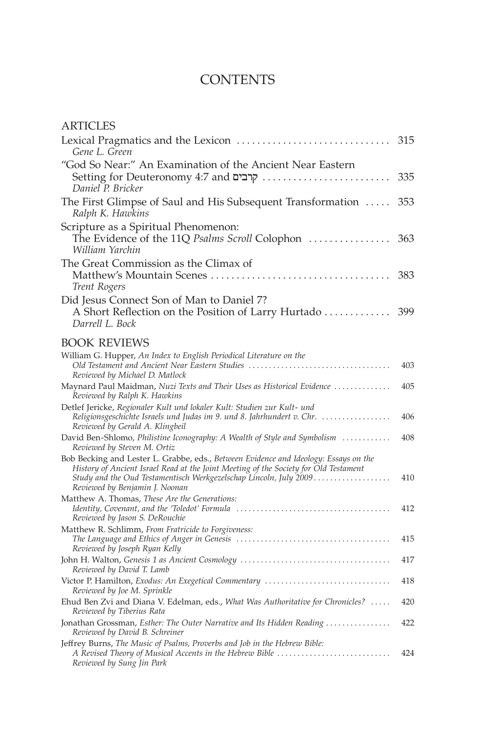## **CONTENTS**

| ARTICLES                                                                                                                                                                                                                                                                            |     |
|-------------------------------------------------------------------------------------------------------------------------------------------------------------------------------------------------------------------------------------------------------------------------------------|-----|
| Lexical Pragmatics and the Lexicon<br>Gene L. Green                                                                                                                                                                                                                                 | 315 |
| "God So Near:" An Examination of the Ancient Near Eastern<br>Daniel P. Bricker                                                                                                                                                                                                      | 335 |
| The First Glimpse of Saul and His Subsequent Transformation<br>Ralph K. Hawkins                                                                                                                                                                                                     | 353 |
| Scripture as a Spiritual Phenomenon:<br>The Evidence of the 11Q Psalms Scroll Colophon<br>William Yarchin                                                                                                                                                                           | 363 |
| The Great Commission as the Climax of<br>Trent Rogers                                                                                                                                                                                                                               | 383 |
| Did Jesus Connect Son of Man to Daniel 7?<br>A Short Reflection on the Position of Larry Hurtado<br>Darrell L. Bock                                                                                                                                                                 | 399 |
| <b>BOOK REVIEWS</b>                                                                                                                                                                                                                                                                 |     |
| William G. Hupper, An Index to English Periodical Literature on the<br>Old Testament and Ancient Near Eastern Studies<br>Reviewed by Michael D. Matlock                                                                                                                             | 403 |
| Maynard Paul Maidman, Nuzi Texts and Their Uses as Historical Evidence<br>Reviewed by Ralph K. Hawkins                                                                                                                                                                              | 405 |
| Detlef Jericke, Regionaler Kult und lokaler Kult: Studien zur Kult- und<br>Religionsgeschichte Israels und Judas im 9. und 8. Jahrhundert v. Chr.<br>Reviewed by Gerald A. Klingbeil                                                                                                | 406 |
| David Ben-Shlomo, Philistine Iconography: A Wealth of Style and Symbolism<br>Reviewed by Steven M. Ortiz                                                                                                                                                                            | 408 |
| Bob Becking and Lester L. Grabbe, eds., Between Evidence and Ideology: Essays on the<br>History of Ancient Israel Read at the Joint Meeting of the Society for Old Testament<br>Study and the Oud Testamentisch Werkgezelschap Lincoln, July 2009<br>Reviewed by Benjamin J. Noonan | 410 |
| Matthew A. Thomas, These Are the Generations:<br>Reviewed by Jason S. DeRouchie                                                                                                                                                                                                     | 412 |
| Matthew R. Schlimm, From Fratricide to Forgiveness:<br>Reviewed by Joseph Ryan Kelly                                                                                                                                                                                                | 415 |
| Reviewed by David T. Lamb                                                                                                                                                                                                                                                           | 417 |
| Victor P. Hamilton, Exodus: An Exegetical Commentary<br>Reviewed by Joe M. Sprinkle                                                                                                                                                                                                 | 418 |
| Ehud Ben Zvi and Diana V. Edelman, eds., What Was Authoritative for Chronicles?<br>Reviewed by Tiberius Rata                                                                                                                                                                        | 420 |
| Jonathan Grossman, Esther: The Outer Narrative and Its Hidden Reading<br>Reviewed by David B. Schreiner                                                                                                                                                                             | 422 |
| Jeffrey Burns, The Music of Psalms, Proverbs and Job in the Hebrew Bible:<br>Reviewed by Sung Jin Park                                                                                                                                                                              | 424 |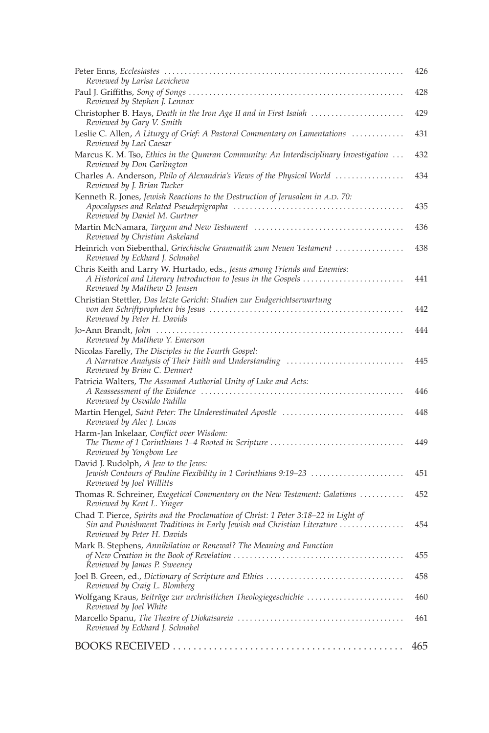| Reviewed by Larisa Levicheva                                                                                                                                                                 | 426 |
|----------------------------------------------------------------------------------------------------------------------------------------------------------------------------------------------|-----|
| Paul J. Griffiths, Song of Songs<br>Reviewed by Stephen J. Lennox                                                                                                                            | 428 |
| Christopher B. Hays, Death in the Iron Age II and in First Isaiah<br>Reviewed by Gary V. Smith                                                                                               | 429 |
| Leslie C. Allen, A Liturgy of Grief: A Pastoral Commentary on Lamentations<br>Reviewed by Lael Caesar                                                                                        | 431 |
| Marcus K. M. Tso, Ethics in the Qumran Community: An Interdisciplinary Investigation<br>Reviewed by Don Garlington                                                                           | 432 |
| Charles A. Anderson, Philo of Alexandria's Views of the Physical World<br>Reviewed by J. Brian Tucker                                                                                        | 434 |
| Kenneth R. Jones, Jewish Reactions to the Destruction of Jerusalem in A.D. 70:<br>Reviewed by Daniel M. Gurtner                                                                              | 435 |
| Reviewed by Christian Askeland                                                                                                                                                               | 436 |
| Heinrich von Siebenthal, Griechische Grammatik zum Neuen Testament<br>Reviewed by Eckhard J. Schnabel                                                                                        | 438 |
| Chris Keith and Larry W. Hurtado, eds., Jesus among Friends and Enemies:<br>Reviewed by Matthew D. Jensen                                                                                    | 441 |
| Christian Stettler, Das letzte Gericht: Studien zur Endgerichtserwartung<br>Reviewed by Peter H. Davids                                                                                      | 442 |
| Reviewed by Matthew Y. Emerson                                                                                                                                                               | 444 |
| Nicolas Farelly, The Disciples in the Fourth Gospel:<br>A Narrative Analysis of Their Faith and Understanding<br>Reviewed by Brian C. Dennert                                                | 445 |
| Patricia Walters, The Assumed Authorial Unity of Luke and Acts:<br>Reviewed by Osvaldo Padilla                                                                                               | 446 |
| Martin Hengel, Saint Peter: The Underestimated Apostle<br>Reviewed by Alec J. Lucas                                                                                                          | 448 |
| Harm-Jan Inkelaar, Conflict over Wisdom:<br>Reviewed by Yongbom Lee                                                                                                                          | 449 |
| David J. Rudolph, A Jew to the Jews:<br>Jewish Contours of Pauline Flexibility in 1 Corinthians 9:19–23<br>Reviewed by Joel Willitts                                                         | 451 |
| Thomas R. Schreiner, Exegetical Commentary on the New Testament: Galatians<br>Reviewed by Kent L. Yinger                                                                                     | 452 |
| Chad T. Pierce, Spirits and the Proclamation of Christ: 1 Peter 3:18–22 in Light of<br>Sin and Punishment Traditions in Early Jewish and Christian Literature<br>Reviewed by Peter H. Davids | 454 |
| Mark B. Stephens, Annihilation or Renewal? The Meaning and Function<br>Reviewed by James P. Sweeney                                                                                          | 455 |
| Reviewed by Craig L. Blomberg                                                                                                                                                                | 458 |
| Wolfgang Kraus, Beiträge zur urchristlichen Theologiegeschichte<br>Reviewed by Joel White                                                                                                    | 460 |
| Reviewed by Eckhard J. Schnabel                                                                                                                                                              | 461 |
|                                                                                                                                                                                              | 465 |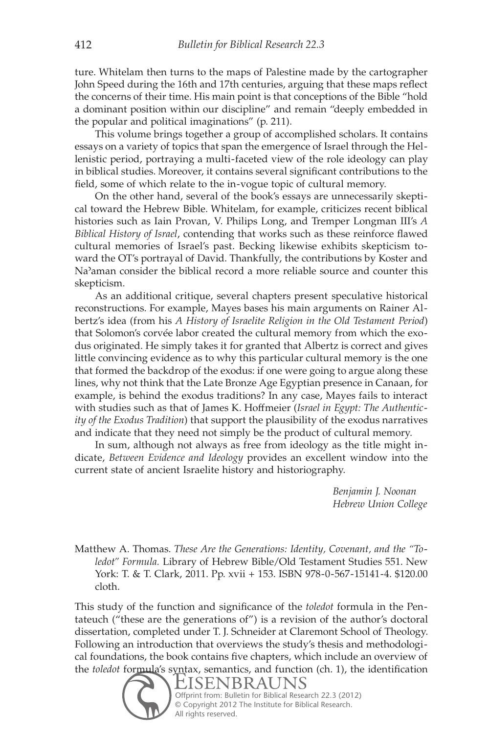ture. Whitelam then turns to the maps of Palestine made by the cartographer John Speed during the 16th and 17th centuries, arguing that these maps reflect the concerns of their time. His main point is that conceptions of the Bible "hold a dominant position within our discipline" and remain "deeply embedded in the popular and political imaginations" (p. 211).

This volume brings together a group of accomplished scholars. It contains essays on a variety of topics that span the emergence of Israel through the Hellenistic period, portraying a multi-faceted view of the role ideology can play in biblical studies. Moreover, it contains several significant contributions to the field, some of which relate to the in-vogue topic of cultural memory.

On the other hand, several of the book's essays are unnecessarily skeptical toward the Hebrew Bible. Whitelam, for example, criticizes recent biblical histories such as Iain Provan, V. Philips Long, and Tremper Longman III's *A Biblical History of Israel*, contending that works such as these reinforce flawed cultural memories of Israel's past. Becking likewise exhibits skepticism toward the OT's portrayal of David. Thankfully, the contributions by Koster and Naʾaman consider the biblical record a more reliable source and counter this skepticism.

As an additional critique, several chapters present speculative historical reconstructions. For example, Mayes bases his main arguments on Rainer Albertz's idea (from his *A History of Israelite Religion in the Old Testament Period*) that Solomon's corvée labor created the cultural memory from which the exodus originated. He simply takes it for granted that Albertz is correct and gives little convincing evidence as to why this particular cultural memory is the one that formed the backdrop of the exodus: if one were going to argue along these lines, why not think that the Late Bronze Age Egyptian presence in Canaan, for example, is behind the exodus traditions? In any case, Mayes fails to interact with studies such as that of James K. Hoffmeier (*Israel in Egypt: The Authenticity of the Exodus Tradition*) that support the plausibility of the exodus narratives and indicate that they need not simply be the product of cultural memory.

In sum, although not always as free from ideology as the title might indicate, *Between Evidence and Ideology* provides an excellent window into the current state of ancient Israelite history and historiography.

> *Benjamin J. Noonan Hebrew Union College*

Matthew A. Thomas.*These Are the Generations: Identity, Covenant, and the "Toledot" Formula.* Library of Hebrew Bible/Old Testament Studies 551. New York: T. & T. Clark, 2011. Pp. xvii + 153. ISBN 978-0-567-15141-4. \$120.00 cloth.

This study of the function and significance of the *toledot* formula in the Pentateuch ("these are the generations of") is a revision of the author's doctoral dissertation, completed under T. J. Schneider at Claremont School of Theology. Following an introduction that overviews the study's thesis and methodological foundations, the book contains five chapters, which include an overview of the *toledot* formula's syntax, semantics, and function (ch. 1), the identification

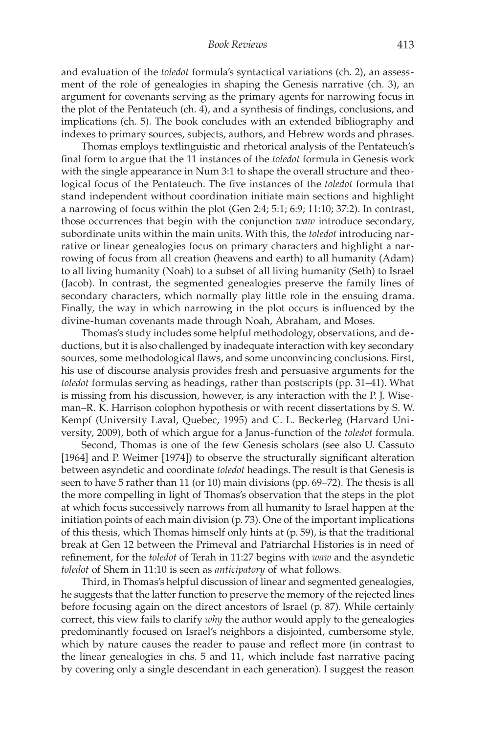and evaluation of the *toledot* formula's syntactical variations (ch. 2), an assessment of the role of genealogies in shaping the Genesis narrative (ch. 3), an argument for covenants serving as the primary agents for narrowing focus in the plot of the Pentateuch (ch. 4), and a synthesis of findings, conclusions, and implications (ch. 5). The book concludes with an extended bibliography and indexes to primary sources, subjects, authors, and Hebrew words and phrases.

Thomas employs textlinguistic and rhetorical analysis of the Pentateuch's final form to argue that the 11 instances of the *toledot* formula in Genesis work with the single appearance in Num 3:1 to shape the overall structure and theological focus of the Pentateuch. The five instances of the *toledot* formula that stand independent without coordination initiate main sections and highlight a narrowing of focus within the plot (Gen 2:4; 5:1; 6:9; 11:10; 37:2). In contrast, those occurrences that begin with the conjunction *waw* introduce secondary, subordinate units within the main units. With this, the *toledot* introducing narrative or linear genealogies focus on primary characters and highlight a narrowing of focus from all creation (heavens and earth) to all humanity (Adam) to all living humanity (Noah) to a subset of all living humanity (Seth) to Israel (Jacob). In contrast, the segmented genealogies preserve the family lines of secondary characters, which normally play little role in the ensuing drama. Finally, the way in which narrowing in the plot occurs is influenced by the divine-human covenants made through Noah, Abraham, and Moses.

Thomas's study includes some helpful methodology, observations, and deductions, but it is also challenged by inadequate interaction with key secondary sources, some methodological flaws, and some unconvincing conclusions. First, his use of discourse analysis provides fresh and persuasive arguments for the *toledot* formulas serving as headings, rather than postscripts (pp. 31–41). What is missing from his discussion, however, is any interaction with the P. J. Wiseman–R. K. Harrison colophon hypothesis or with recent dissertations by S. W. Kempf (University Laval, Quebec, 1995) and C. L. Beckerleg (Harvard University, 2009), both of which argue for a Janus-function of the *toledot* formula.

Second, Thomas is one of the few Genesis scholars (see also U. Cassuto [1964] and P. Weimer [1974]) to observe the structurally significant alteration between asyndetic and coordinate *toledot* headings. The result is that Genesis is seen to have 5 rather than 11 (or 10) main divisions (pp. 69–72). The thesis is all the more compelling in light of Thomas's observation that the steps in the plot at which focus successively narrows from all humanity to Israel happen at the initiation points of each main division (p. 73). One of the important implications of this thesis, which Thomas himself only hints at (p. 59), is that the traditional break at Gen 12 between the Primeval and Patriarchal Histories is in need of refinement, for the *toledot* of Terah in 11:27 begins with *waw* and the asyndetic *toledot* of Shem in 11:10 is seen as *anticipatory* of what follows.

Third, in Thomas's helpful discussion of linear and segmented genealogies, he suggests that the latter function to preserve the memory of the rejected lines before focusing again on the direct ancestors of Israel (p. 87). While certainly correct, this view fails to clarify *why* the author would apply to the genealogies predominantly focused on Israel's neighbors a disjointed, cumbersome style, which by nature causes the reader to pause and reflect more (in contrast to the linear genealogies in chs. 5 and 11, which include fast narrative pacing by covering only a single descendant in each generation). I suggest the reason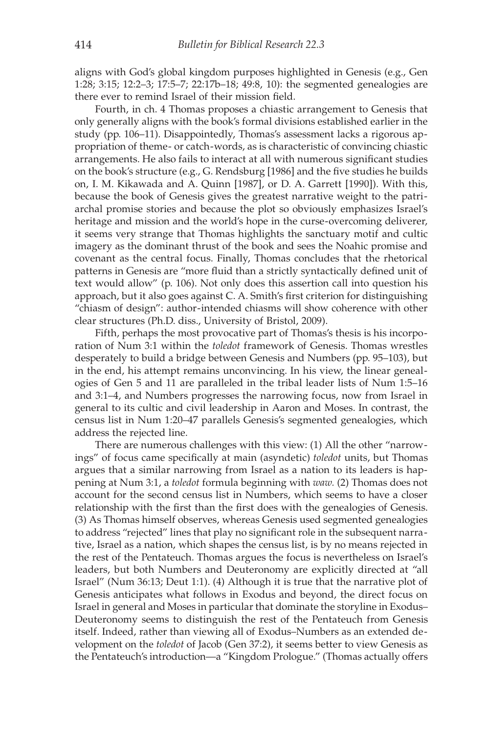aligns with God's global kingdom purposes highlighted in Genesis (e.g., Gen 1:28; 3:15; 12:2–3; 17:5–7; 22:17b–18; 49:8, 10): the segmented genealogies are there ever to remind Israel of their mission field.

Fourth, in ch. 4 Thomas proposes a chiastic arrangement to Genesis that only generally aligns with the book's formal divisions established earlier in the study (pp. 106–11). Disappointedly, Thomas's assessment lacks a rigorous appropriation of theme- or catch-words, as is characteristic of convincing chiastic arrangements. He also fails to interact at all with numerous significant studies on the book's structure (e.g., G. Rendsburg [1986] and the five studies he builds on, I. M. Kikawada and A. Quinn [1987], or D. A. Garrett [1990]). With this, because the book of Genesis gives the greatest narrative weight to the patriarchal promise stories and because the plot so obviously emphasizes Israel's heritage and mission and the world's hope in the curse-overcoming deliverer, it seems very strange that Thomas highlights the sanctuary motif and cultic imagery as the dominant thrust of the book and sees the Noahic promise and covenant as the central focus. Finally, Thomas concludes that the rhetorical patterns in Genesis are "more fluid than a strictly syntactically defined unit of text would allow" (p. 106). Not only does this assertion call into question his approach, but it also goes against C. A. Smith's first criterion for distinguishing "chiasm of design": author-intended chiasms will show coherence with other clear structures (Ph.D. diss., University of Bristol, 2009).

Fifth, perhaps the most provocative part of Thomas's thesis is his incorporation of Num 3:1 within the *toledot* framework of Genesis. Thomas wrestles desperately to build a bridge between Genesis and Numbers (pp. 95–103), but in the end, his attempt remains unconvincing. In his view, the linear genealogies of Gen 5 and 11 are paralleled in the tribal leader lists of Num 1:5–16 and 3:1–4, and Numbers progresses the narrowing focus, now from Israel in general to its cultic and civil leadership in Aaron and Moses. In contrast, the census list in Num 1:20–47 parallels Genesis's segmented genealogies, which address the rejected line.

There are numerous challenges with this view: (1) All the other "narrowings" of focus came specifically at main (asyndetic) *toledot* units, but Thomas argues that a similar narrowing from Israel as a nation to its leaders is happening at Num 3:1, a *toledot* formula beginning with *waw.* (2) Thomas does not account for the second census list in Numbers, which seems to have a closer relationship with the first than the first does with the genealogies of Genesis. (3) As Thomas himself observes, whereas Genesis used segmented genealogies to address "rejected" lines that play no significant role in the subsequent narrative, Israel as a nation, which shapes the census list, is by no means rejected in the rest of the Pentateuch. Thomas argues the focus is nevertheless on Israel's leaders, but both Numbers and Deuteronomy are explicitly directed at "all Israel" (Num 36:13; Deut 1:1). (4) Although it is true that the narrative plot of Genesis anticipates what follows in Exodus and beyond, the direct focus on Israel in general and Moses in particular that dominate the storyline in Exodus– Deuteronomy seems to distinguish the rest of the Pentateuch from Genesis itself. Indeed, rather than viewing all of Exodus–Numbers as an extended development on the *toledot* of Jacob (Gen 37:2), it seems better to view Genesis as the Pentateuch's introduction—a "Kingdom Prologue." (Thomas actually offers